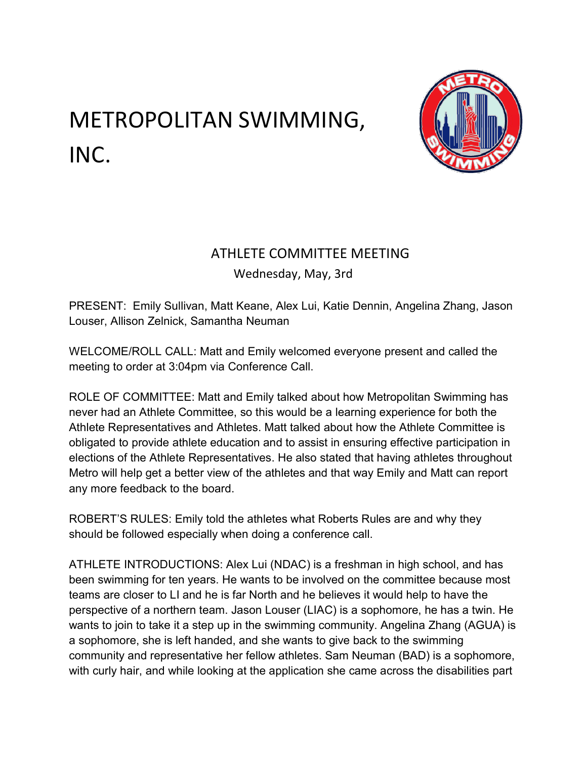## METROPOLITAN SWIMMING, INC.



## ATHLETE COMMITTEE MEETING

Wednesday, May, 3rd

PRESENT: Emily Sullivan, Matt Keane, Alex Lui, Katie Dennin, Angelina Zhang, Jason Louser, Allison Zelnick, Samantha Neuman

WELCOME/ROLL CALL: Matt and Emily welcomed everyone present and called the meeting to order at 3:04pm via Conference Call.

ROLE OF COMMITTEE: Matt and Emily talked about how Metropolitan Swimming has never had an Athlete Committee, so this would be a learning experience for both the Athlete Representatives and Athletes. Matt talked about how the Athlete Committee is obligated to provide athlete education and to assist in ensuring effective participation in elections of the Athlete Representatives. He also stated that having athletes throughout Metro will help get a better view of the athletes and that way Emily and Matt can report any more feedback to the board.

ROBERT'S RULES: Emily told the athletes what Roberts Rules are and why they should be followed especially when doing a conference call.

ATHLETE INTRODUCTIONS: Alex Lui (NDAC) is a freshman in high school, and has been swimming for ten years. He wants to be involved on the committee because most teams are closer to LI and he is far North and he believes it would help to have the perspective of a northern team. Jason Louser (LIAC) is a sophomore, he has a twin. He wants to join to take it a step up in the swimming community. Angelina Zhang (AGUA) is a sophomore, she is left handed, and she wants to give back to the swimming community and representative her fellow athletes. Sam Neuman (BAD) is a sophomore, with curly hair, and while looking at the application she came across the disabilities part